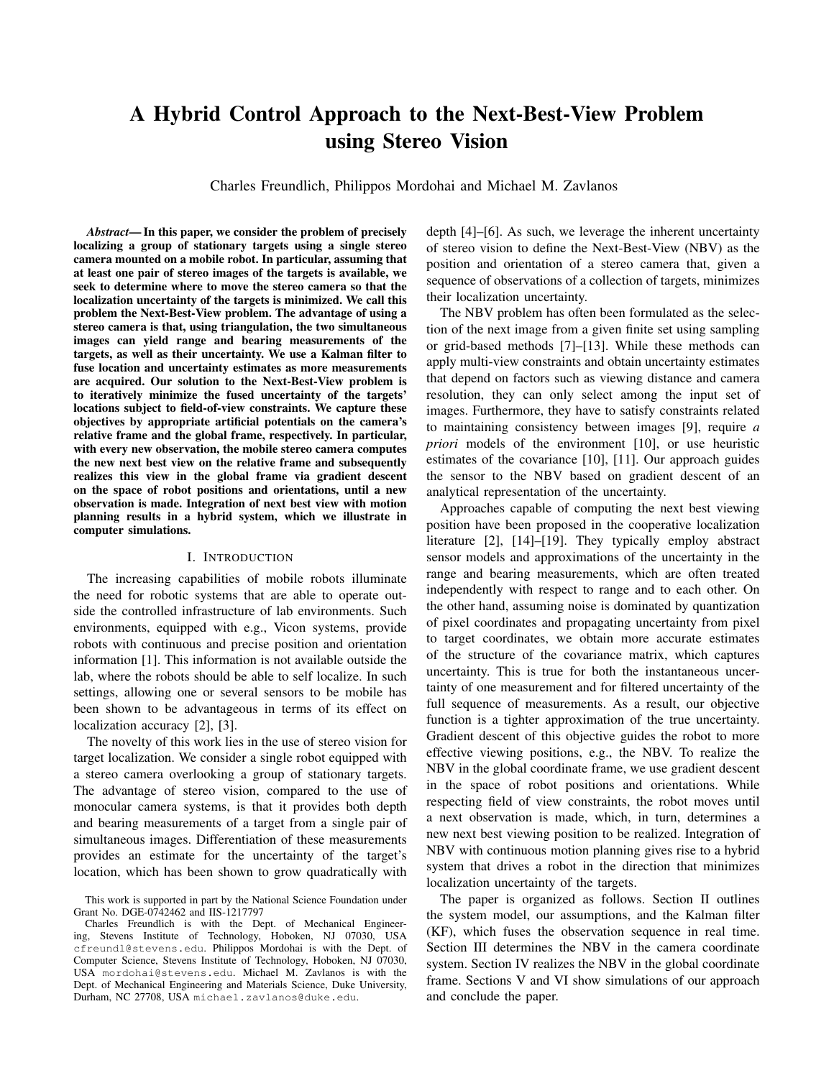# A Hybrid Control Approach to the Next-Best-View Problem using Stereo Vision

Charles Freundlich, Philippos Mordohai and Michael M. Zavlanos

*Abstract*— In this paper, we consider the problem of precisely localizing a group of stationary targets using a single stereo camera mounted on a mobile robot. In particular, assuming that at least one pair of stereo images of the targets is available, we seek to determine where to move the stereo camera so that the localization uncertainty of the targets is minimized. We call this problem the Next-Best-View problem. The advantage of using a stereo camera is that, using triangulation, the two simultaneous images can yield range and bearing measurements of the targets, as well as their uncertainty. We use a Kalman filter to fuse location and uncertainty estimates as more measurements are acquired. Our solution to the Next-Best-View problem is to iteratively minimize the fused uncertainty of the targets' locations subject to field-of-view constraints. We capture these objectives by appropriate artificial potentials on the camera's relative frame and the global frame, respectively. In particular, with every new observation, the mobile stereo camera computes the new next best view on the relative frame and subsequently realizes this view in the global frame via gradient descent on the space of robot positions and orientations, until a new observation is made. Integration of next best view with motion planning results in a hybrid system, which we illustrate in computer simulations.

# I. INTRODUCTION

The increasing capabilities of mobile robots illuminate the need for robotic systems that are able to operate outside the controlled infrastructure of lab environments. Such environments, equipped with e.g., Vicon systems, provide robots with continuous and precise position and orientation information [1]. This information is not available outside the lab, where the robots should be able to self localize. In such settings, allowing one or several sensors to be mobile has been shown to be advantageous in terms of its effect on localization accuracy [2], [3].

The novelty of this work lies in the use of stereo vision for target localization. We consider a single robot equipped with a stereo camera overlooking a group of stationary targets. The advantage of stereo vision, compared to the use of monocular camera systems, is that it provides both depth and bearing measurements of a target from a single pair of simultaneous images. Differentiation of these measurements provides an estimate for the uncertainty of the target's location, which has been shown to grow quadratically with

depth [4]–[6]. As such, we leverage the inherent uncertainty of stereo vision to define the Next-Best-View (NBV) as the position and orientation of a stereo camera that, given a sequence of observations of a collection of targets, minimizes their localization uncertainty.

The NBV problem has often been formulated as the selection of the next image from a given finite set using sampling or grid-based methods [7]–[13]. While these methods can apply multi-view constraints and obtain uncertainty estimates that depend on factors such as viewing distance and camera resolution, they can only select among the input set of images. Furthermore, they have to satisfy constraints related to maintaining consistency between images [9], require *a priori* models of the environment [10], or use heuristic estimates of the covariance [10], [11]. Our approach guides the sensor to the NBV based on gradient descent of an analytical representation of the uncertainty.

Approaches capable of computing the next best viewing position have been proposed in the cooperative localization literature [2], [14]–[19]. They typically employ abstract sensor models and approximations of the uncertainty in the range and bearing measurements, which are often treated independently with respect to range and to each other. On the other hand, assuming noise is dominated by quantization of pixel coordinates and propagating uncertainty from pixel to target coordinates, we obtain more accurate estimates of the structure of the covariance matrix, which captures uncertainty. This is true for both the instantaneous uncertainty of one measurement and for filtered uncertainty of the full sequence of measurements. As a result, our objective function is a tighter approximation of the true uncertainty. Gradient descent of this objective guides the robot to more effective viewing positions, e.g., the NBV. To realize the NBV in the global coordinate frame, we use gradient descent in the space of robot positions and orientations. While respecting field of view constraints, the robot moves until a next observation is made, which, in turn, determines a new next best viewing position to be realized. Integration of NBV with continuous motion planning gives rise to a hybrid system that drives a robot in the direction that minimizes localization uncertainty of the targets.

The paper is organized as follows. Section II outlines the system model, our assumptions, and the Kalman filter (KF), which fuses the observation sequence in real time. Section III determines the NBV in the camera coordinate system. Section IV realizes the NBV in the global coordinate frame. Sections V and VI show simulations of our approach and conclude the paper.

This work is supported in part by the National Science Foundation under Grant No. DGE-0742462 and IIS-1217797

Charles Freundlich is with the Dept. of Mechanical Engineering, Stevens Institute of Technology, Hoboken, NJ 07030, USA cfreundl@stevens.edu. Philippos Mordohai is with the Dept. of Computer Science, Stevens Institute of Technology, Hoboken, NJ 07030, USA mordohai@stevens.edu. Michael M. Zavlanos is with the Dept. of Mechanical Engineering and Materials Science, Duke University, Durham, NC 27708, USA michael.zavlanos@duke.edu.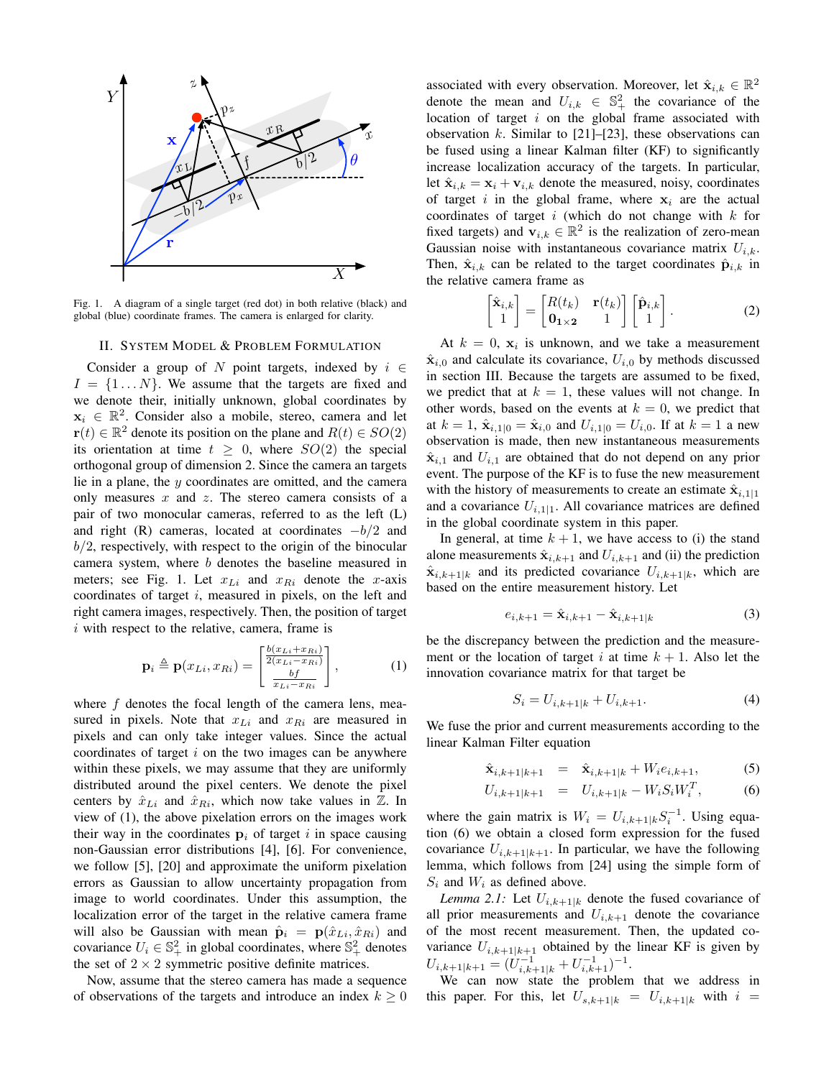

Fig. 1. A diagram of a single target (red dot) in both relative (black) and global (blue) coordinate frames. The camera is enlarged for clarity.

#### II. SYSTEM MODEL & PROBLEM FORMULATION

Consider a group of N point targets, indexed by  $i \in$  $I = \{1...N\}$ . We assume that the targets are fixed and we denote their, initially unknown, global coordinates by  $x_i \in \mathbb{R}^2$ . Consider also a mobile, stereo, camera and let  $\mathbf{r}(t) \in \mathbb{R}^2$  denote its position on the plane and  $R(t) \in SO(2)$ its orientation at time  $t \geq 0$ , where  $SO(2)$  the special orthogonal group of dimension 2. Since the camera an targets lie in a plane, the  $y$  coordinates are omitted, and the camera only measures  $x$  and  $z$ . The stereo camera consists of a pair of two monocular cameras, referred to as the left (L) and right (R) cameras, located at coordinates  $-b/2$  and  $b/2$ , respectively, with respect to the origin of the binocular camera system, where b denotes the baseline measured in meters; see Fig. 1. Let  $x_{Li}$  and  $x_{Ri}$  denote the x-axis coordinates of target i, measured in pixels, on the left and right camera images, respectively. Then, the position of target  $i$  with respect to the relative, camera, frame is

$$
\mathbf{p}_i \triangleq \mathbf{p}(x_{Li}, x_{Ri}) = \begin{bmatrix} \frac{b(x_{Li} + x_{Ri})}{2(x_{Li} - x_{Ri})} \\ \frac{bf}{x_{Li} - x_{Ri}} \end{bmatrix}, \quad (1)
$$

where  $f$  denotes the focal length of the camera lens, measured in pixels. Note that  $x_{Li}$  and  $x_{Ri}$  are measured in pixels and can only take integer values. Since the actual coordinates of target  $i$  on the two images can be anywhere within these pixels, we may assume that they are uniformly distributed around the pixel centers. We denote the pixel centers by  $\hat{x}_{Li}$  and  $\hat{x}_{Ri}$ , which now take values in  $\mathbb{Z}$ . In view of (1), the above pixelation errors on the images work their way in the coordinates  $p_i$  of target i in space causing non-Gaussian error distributions [4], [6]. For convenience, we follow [5], [20] and approximate the uniform pixelation errors as Gaussian to allow uncertainty propagation from image to world coordinates. Under this assumption, the localization error of the target in the relative camera frame will also be Gaussian with mean  $\hat{\mathbf{p}}_i = \mathbf{p}(\hat{x}_{Li}, \hat{x}_{Ri})$  and covariance  $U_i \in \mathbb{S}^2_+$  in global coordinates, where  $\mathbb{S}^2_+$  denotes the set of  $2 \times 2$  symmetric positive definite matrices.

Now, assume that the stereo camera has made a sequence of observations of the targets and introduce an index  $k \geq 0$ 

associated with every observation. Moreover, let  $\hat{\mathbf{x}}_{i,k} \in \mathbb{R}^2$ denote the mean and  $U_{i,k} \in \mathbb{S}^2_+$  the covariance of the location of target  $i$  on the global frame associated with observation  $k$ . Similar to [21]–[23], these observations can be fused using a linear Kalman filter (KF) to significantly increase localization accuracy of the targets. In particular, let  $\hat{\mathbf{x}}_{i,k} = \mathbf{x}_i + \mathbf{v}_{i,k}$  denote the measured, noisy, coordinates of target i in the global frame, where  $x_i$  are the actual coordinates of target  $i$  (which do not change with  $k$  for fixed targets) and  $\mathbf{v}_{i,k} \in \mathbb{R}^2$  is the realization of zero-mean Gaussian noise with instantaneous covariance matrix  $U_{i,k}$ . Then,  $\hat{\mathbf{x}}_{i,k}$  can be related to the target coordinates  $\hat{\mathbf{p}}_{i,k}$  in the relative camera frame as

$$
\begin{bmatrix} \hat{\mathbf{x}}_{i,k} \\ 1 \end{bmatrix} = \begin{bmatrix} R(t_k) & \mathbf{r}(t_k) \\ \mathbf{0}_{1 \times 2} & 1 \end{bmatrix} \begin{bmatrix} \hat{\mathbf{p}}_{i,k} \\ 1 \end{bmatrix}.
$$
 (2)

At  $k = 0$ ,  $\mathbf{x}_i$  is unknown, and we take a measurement  $\hat{\mathbf{x}}_{i,0}$  and calculate its covariance,  $U_{i,0}$  by methods discussed in section III. Because the targets are assumed to be fixed, we predict that at  $k = 1$ , these values will not change. In other words, based on the events at  $k = 0$ , we predict that at  $k = 1$ ,  $\hat{\mathbf{x}}_{i,1|0} = \hat{\mathbf{x}}_{i,0}$  and  $U_{i,1|0} = U_{i,0}$ . If at  $k = 1$  a new observation is made, then new instantaneous measurements  $\hat{\mathbf{x}}_{i,1}$  and  $U_{i,1}$  are obtained that do not depend on any prior event. The purpose of the KF is to fuse the new measurement with the history of measurements to create an estimate  $\hat{\mathbf{x}}_{i,1|1}$ and a covariance  $U_{i,1|1}$ . All covariance matrices are defined in the global coordinate system in this paper.

In general, at time  $k + 1$ , we have access to (i) the stand alone measurements  $\hat{\mathbf{x}}_{i,k+1}$  and  $U_{i,k+1}$  and (ii) the prediction  $\hat{\mathbf{x}}_{i,k+1|k}$  and its predicted covariance  $U_{i,k+1|k}$ , which are based on the entire measurement history. Let

$$
e_{i,k+1} = \hat{\mathbf{x}}_{i,k+1} - \hat{\mathbf{x}}_{i,k+1|k}
$$
 (3)

be the discrepancy between the prediction and the measurement or the location of target i at time  $k + 1$ . Also let the innovation covariance matrix for that target be

$$
S_i = U_{i,k+1|k} + U_{i,k+1}.
$$
\n(4)

We fuse the prior and current measurements according to the linear Kalman Filter equation

$$
\hat{\mathbf{x}}_{i,k+1|k+1} = \hat{\mathbf{x}}_{i,k+1|k} + W_i e_{i,k+1}, \tag{5}
$$

$$
U_{i,k+1|k+1} = U_{i,k+1|k} - W_i S_i W_i^T, \tag{6}
$$

where the gain matrix is  $W_i = U_{i,k+1|k} S_i^{-1}$ . Using equation (6) we obtain a closed form expression for the fused covariance  $U_{i,k+1|k+1}$ . In particular, we have the following lemma, which follows from [24] using the simple form of  $S_i$  and  $W_i$  as defined above.

*Lemma 2.1:* Let  $U_{i,k+1|k}$  denote the fused covariance of all prior measurements and  $U_{i,k+1}$  denote the covariance of the most recent measurement. Then, the updated covariance  $U_{i,k+1|k+1}$  obtained by the linear KF is given by  $U_{i,k+1|k+1} = (U_{i,k+1|k}^{-1} + U_{i,k+1}^{-1})^{-1}.$ 

We can now state the problem that we address in this paper. For this, let  $U_{s,k+1|k} = U_{i,k+1|k}$  with  $i =$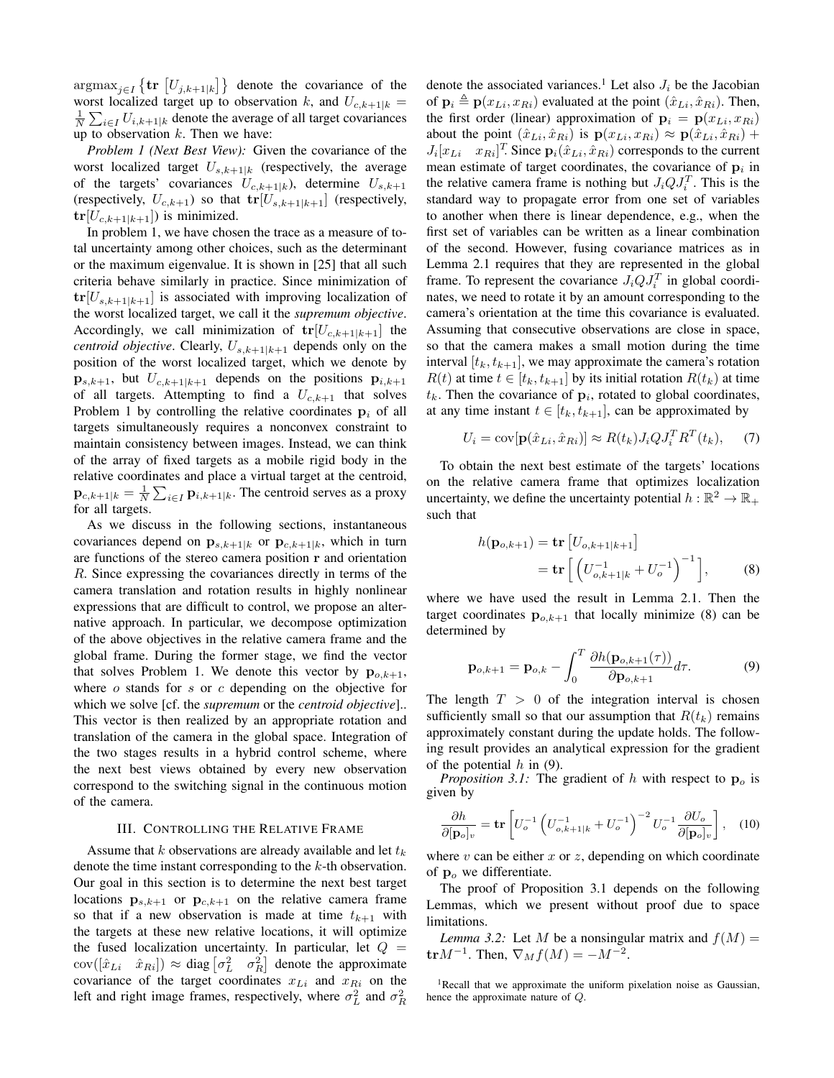$\argmax_{j \in I} \{\mathbf{tr} [U_{j,k+1|k}]\}$  denote the covariance of the worst localized target up to observation k, and  $U_{c,k+1|k} =$  $\frac{1}{N} \sum_{i \in I} U_{i,k+1|k}$  denote the average of all target covariances up to observation  $k$ . Then we have:

*Problem 1 (Next Best View):* Given the covariance of the worst localized target  $U_{s,k+1|k}$  (respectively, the average of the targets' covariances  $U_{c,k+1|k}$ ), determine  $U_{s,k+1}$ (respectively,  $U_{c,k+1}$ ) so that  $\text{tr}[U_{s,k+1|k+1}]$  (respectively,  $tr[U_{c,k+1|k+1}]$ ) is minimized.

In problem 1, we have chosen the trace as a measure of total uncertainty among other choices, such as the determinant or the maximum eigenvalue. It is shown in [25] that all such criteria behave similarly in practice. Since minimization of  $tr[U_{s,k+1|k+1}]$  is associated with improving localization of the worst localized target, we call it the *supremum objective*. Accordingly, we call minimization of  $tr[U_{c,k+1|k+1}]$  the *centroid objective*. Clearly,  $U_{s,k+1|k+1}$  depends only on the position of the worst localized target, which we denote by  $\mathbf{p}_{s,k+1}$ , but  $U_{c,k+1|k+1}$  depends on the positions  $\mathbf{p}_{i,k+1}$ of all targets. Attempting to find a  $U_{c,k+1}$  that solves Problem 1 by controlling the relative coordinates  $p_i$  of all targets simultaneously requires a nonconvex constraint to maintain consistency between images. Instead, we can think of the array of fixed targets as a mobile rigid body in the relative coordinates and place a virtual target at the centroid,  $\mathbf{p}_{c,k+1|k} = \frac{1}{N} \sum_{i \in I} \mathbf{p}_{i,k+1|k}$ . The centroid serves as a proxy for all targets.

As we discuss in the following sections, instantaneous covariances depend on  $\mathbf{p}_{s,k+1|k}$  or  $\mathbf{p}_{c,k+1|k}$ , which in turn are functions of the stereo camera position r and orientation R. Since expressing the covariances directly in terms of the camera translation and rotation results in highly nonlinear expressions that are difficult to control, we propose an alternative approach. In particular, we decompose optimization of the above objectives in the relative camera frame and the global frame. During the former stage, we find the vector that solves Problem 1. We denote this vector by  $\mathbf{p}_{o,k+1}$ , where  $\sigma$  stands for  $s$  or  $c$  depending on the objective for which we solve [cf. the *supremum* or the *centroid objective*].. This vector is then realized by an appropriate rotation and translation of the camera in the global space. Integration of the two stages results in a hybrid control scheme, where the next best views obtained by every new observation correspond to the switching signal in the continuous motion of the camera.

# III. CONTROLLING THE RELATIVE FRAME

Assume that k observations are already available and let  $t_k$ denote the time instant corresponding to the k-th observation. Our goal in this section is to determine the next best target locations  $\mathbf{p}_{s,k+1}$  or  $\mathbf{p}_{c,k+1}$  on the relative camera frame so that if a new observation is made at time  $t_{k+1}$  with the targets at these new relative locations, it will optimize the fused localization uncertainty. In particular, let  $Q =$  $cov([x_{Li} \quad \hat{x}_{Ri}]) \approx diag[\sigma_L^2 \quad \sigma_R^2]$  denote the approximate covariance of the target coordinates  $x_{Li}$  and  $x_{Ri}$  on the left and right image frames, respectively, where  $\sigma_L^2$  and  $\sigma_R^2$ 

denote the associated variances.<sup>1</sup> Let also  $J_i$  be the Jacobian of  $\mathbf{p}_i \triangleq \mathbf{p}(x_{Li}, x_{Ri})$  evaluated at the point  $(\hat{x}_{Li}, \hat{x}_{Ri})$ . Then, the first order (linear) approximation of  $\mathbf{p}_i = \mathbf{p}(x_{Li}, x_{Ri})$ about the point  $(\hat{x}_{Li}, \hat{x}_{Ri})$  is  $\mathbf{p}(x_{Li}, x_{Ri}) \approx \mathbf{p}(\hat{x}_{Li}, \hat{x}_{Ri}) +$  $J_i[x_{Li} \quad x_{Ri}]^T$ . Since  $\mathbf{p}_i(\hat{x}_{Li}, \hat{x}_{Ri})$  corresponds to the current mean estimate of target coordinates, the covariance of  $\mathbf{p}_i$  in the relative camera frame is nothing but  $J_iQJ_i^T$ . This is the standard way to propagate error from one set of variables to another when there is linear dependence, e.g., when the first set of variables can be written as a linear combination of the second. However, fusing covariance matrices as in Lemma 2.1 requires that they are represented in the global frame. To represent the covariance  $J_i Q J_i^T$  in global coordinates, we need to rotate it by an amount corresponding to the camera's orientation at the time this covariance is evaluated. Assuming that consecutive observations are close in space, so that the camera makes a small motion during the time interval  $[t_k, t_{k+1}]$ , we may approximate the camera's rotation  $R(t)$  at time  $t \in [t_k, t_{k+1}]$  by its initial rotation  $R(t_k)$  at time  $t_k$ . Then the covariance of  $\mathbf{p}_i$ , rotated to global coordinates, at any time instant  $t \in [t_k, t_{k+1}]$ , can be approximated by

$$
U_i = \text{cov}[\mathbf{p}(\hat{x}_{Li}, \hat{x}_{Ri})] \approx R(t_k) J_i Q J_i^T R^T(t_k), \quad (7)
$$

To obtain the next best estimate of the targets' locations on the relative camera frame that optimizes localization uncertainty, we define the uncertainty potential  $h : \mathbb{R}^2 \to \mathbb{R}_+$ such that

$$
h(\mathbf{p}_{o,k+1}) = \mathbf{tr}\left[U_{o,k+1|k+1}\right] \\
= \mathbf{tr}\left[\left(U_{o,k+1|k}^{-1} + U_o^{-1}\right)^{-1}\right],\n\tag{8}
$$

where we have used the result in Lemma 2.1. Then the target coordinates  $\mathbf{p}_{o,k+1}$  that locally minimize (8) can be determined by

$$
\mathbf{p}_{o,k+1} = \mathbf{p}_{o,k} - \int_0^T \frac{\partial h(\mathbf{p}_{o,k+1}(\tau))}{\partial \mathbf{p}_{o,k+1}} d\tau.
$$
 (9)

The length  $T > 0$  of the integration interval is chosen sufficiently small so that our assumption that  $R(t_k)$  remains approximately constant during the update holds. The following result provides an analytical expression for the gradient of the potential  $h$  in (9).

*Proposition 3.1:* The gradient of h with respect to  $\mathbf{p}_o$  is given by

$$
\frac{\partial h}{\partial [\mathbf{p}_o]_v} = \mathbf{tr} \left[ U_o^{-1} \left( U_{o,k+1|k}^{-1} + U_o^{-1} \right)^{-2} U_o^{-1} \frac{\partial U_o}{\partial [\mathbf{p}_o]_v} \right], \quad (10)
$$

where  $v$  can be either  $x$  or  $z$ , depending on which coordinate of  $p<sub>o</sub>$  we differentiate.

The proof of Proposition 3.1 depends on the following Lemmas, which we present without proof due to space limitations.

*Lemma 3.2:* Let M be a nonsingular matrix and  $f(M) =$  $tr M^{-1}$ . Then,  $\nabla_M f(M) = -M^{-2}$ .

<sup>1</sup>Recall that we approximate the uniform pixelation noise as Gaussian, hence the approximate nature of Q.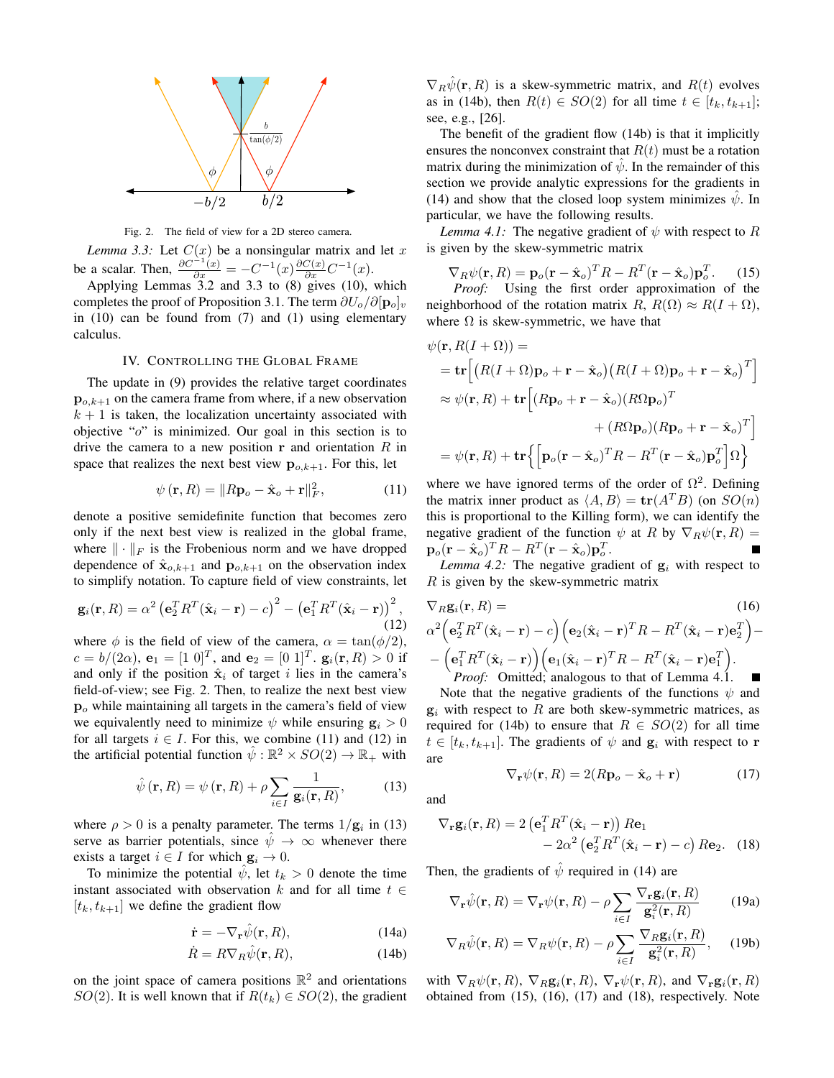

Fig. 2. The field of view for a 2D stereo camera.

*Lemma 3.3:* Let  $C(x)$  be a nonsingular matrix and let x be a scalar. Then,  $\frac{\partial C^{-1}(x)}{\partial x} = -C^{-1}(x) \frac{\partial C(x)}{\partial x} C^{-1}(x)$ .

Applying Lemmas 3.2 and 3.3 to (8) gives (10), which completes the proof of Proposition 3.1. The term  $\partial U_o/\partial [\mathbf{p}_o]_v$ in (10) can be found from (7) and (1) using elementary calculus.

#### IV. CONTROLLING THE GLOBAL FRAME

The update in (9) provides the relative target coordinates  $\mathbf{p}_{o,k+1}$  on the camera frame from where, if a new observation  $k + 1$  is taken, the localization uncertainty associated with objective "o" is minimized. Our goal in this section is to drive the camera to a new position  $r$  and orientation  $R$  in space that realizes the next best view  $\mathbf{p}_{o,k+1}$ . For this, let

$$
\psi(\mathbf{r}, R) = ||R\mathbf{p}_o - \hat{\mathbf{x}}_o + \mathbf{r}||_F^2, \tag{11}
$$

denote a positive semidefinite function that becomes zero only if the next best view is realized in the global frame, where  $\|\cdot\|_F$  is the Frobenious norm and we have dropped dependence of  $\hat{\mathbf{x}}_{o,k+1}$  and  $\mathbf{p}_{o,k+1}$  on the observation index to simplify notation. To capture field of view constraints, let

$$
\mathbf{g}_i(\mathbf{r}, R) = \alpha^2 \left( \mathbf{e}_2^T R^T (\hat{\mathbf{x}}_i - \mathbf{r}) - c \right)^2 - \left( \mathbf{e}_1^T R^T (\hat{\mathbf{x}}_i - \mathbf{r}) \right)^2, \tag{12}
$$

where  $\phi$  is the field of view of the camera,  $\alpha = \tan(\phi/2)$ ,  $c = b/(2\alpha)$ ,  $\mathbf{e}_1 = [1 \ 0]^T$ , and  $\mathbf{e}_2 = [0 \ 1]^T$ .  $\mathbf{g}_i(\mathbf{r}, R) > 0$  if and only if the position  $\hat{\mathbf{x}}_i$  of target i lies in the camera's field-of-view; see Fig. 2. Then, to realize the next best view  $\mathbf{p}_o$  while maintaining all targets in the camera's field of view we equivalently need to minimize  $\psi$  while ensuring  $g_i > 0$ for all targets  $i \in I$ . For this, we combine (11) and (12) in the artificial potential function  $\hat{\psi} : \mathbb{R}^2 \times SO(2) \to \mathbb{R}_+$  with

$$
\hat{\psi}(\mathbf{r}, R) = \psi(\mathbf{r}, R) + \rho \sum_{i \in I} \frac{1}{\mathbf{g}_i(\mathbf{r}, R)},
$$
(13)

where  $\rho > 0$  is a penalty parameter. The terms  $1/\mathbf{g}_i$  in (13) serve as barrier potentials, since  $\psi \to \infty$  whenever there exists a target  $i \in I$  for which  $\mathbf{g}_i \to 0$ .

To minimize the potential  $\hat{\psi}$ , let  $t_k > 0$  denote the time instant associated with observation k and for all time  $t \in$  $[t_k, t_{k+1}]$  we define the gradient flow

$$
\dot{\mathbf{r}} = -\nabla_{\mathbf{r}} \hat{\psi}(\mathbf{r}, R), \tag{14a}
$$

$$
\dot{R} = R \nabla_R \hat{\psi}(\mathbf{r}, R), \qquad (14b)
$$

on the joint space of camera positions  $\mathbb{R}^2$  and orientations SO(2). It is well known that if  $R(t_k) \in SO(2)$ , the gradient  $\nabla_R \hat{\psi}(\mathbf{r}, R)$  is a skew-symmetric matrix, and  $R(t)$  evolves as in (14b), then  $R(t) \in SO(2)$  for all time  $t \in [t_k, t_{k+1}]$ ; see, e.g., [26].

The benefit of the gradient flow (14b) is that it implicitly ensures the nonconvex constraint that  $R(t)$  must be a rotation matrix during the minimization of  $\hat{\psi}$ . In the remainder of this section we provide analytic expressions for the gradients in (14) and show that the closed loop system minimizes  $\psi$ . In particular, we have the following results.

*Lemma 4.1:* The negative gradient of  $\psi$  with respect to R is given by the skew-symmetric matrix

$$
\nabla_R \psi(\mathbf{r}, R) = \mathbf{p}_o(\mathbf{r} - \hat{\mathbf{x}}_o)^T R - R^T(\mathbf{r} - \hat{\mathbf{x}}_o) \mathbf{p}_o^T.
$$
 (15)

*Proof:* Using the first order approximation of the neighborhood of the rotation matrix  $R$ ,  $R(\Omega) \approx R(I + \Omega)$ , where  $\Omega$  is skew-symmetric, we have that

$$
\psi(\mathbf{r}, R(I + \Omega)) =
$$
\n
$$
= \mathbf{tr} \Big[ \big( R(I + \Omega) \mathbf{p}_o + \mathbf{r} - \hat{\mathbf{x}}_o \big) \big( R(I + \Omega) \mathbf{p}_o + \mathbf{r} - \hat{\mathbf{x}}_o \big)^T \Big]
$$
\n
$$
\approx \psi(\mathbf{r}, R) + \mathbf{tr} \Big[ (R\mathbf{p}_o + \mathbf{r} - \hat{\mathbf{x}}_o) (R\Omega \mathbf{p}_o)^T
$$
\n
$$
+ (R\Omega \mathbf{p}_o) (R\mathbf{p}_o + \mathbf{r} - \hat{\mathbf{x}}_o)^T \Big]
$$
\n
$$
= \psi(\mathbf{r}, R) + \mathbf{tr} \Big\{ \Big[ \mathbf{p}_o(\mathbf{r} - \hat{\mathbf{x}}_o)^T R - R^T(\mathbf{r} - \hat{\mathbf{x}}_o) \mathbf{p}_o^T \Big] \Omega \Big\}
$$

where we have ignored terms of the order of  $\Omega^2$ . Defining the matrix inner product as  $\langle A, B \rangle = \text{tr}(A^T B)$  (on  $SO(n)$ ) this is proportional to the Killing form), we can identify the negative gradient of the function  $\psi$  at R by  $\nabla_R \psi(\mathbf{r}, R) =$  $\mathbf{p}_o(\mathbf{r}-\hat{\mathbf{x}}_o)^TR - R^T(\mathbf{r}-\hat{\mathbf{x}}_o)\mathbf{p}_o^T.$ 

*Lemma 4.2:* The negative gradient of  $g_i$  with respect to  $R$  is given by the skew-symmetric matrix

$$
\nabla_R \mathbf{g}_i(\mathbf{r}, R) = \n\alpha^2 \left( \mathbf{e}_2^T R^T (\hat{\mathbf{x}}_i - \mathbf{r}) - c \right) \left( \mathbf{e}_2 (\hat{\mathbf{x}}_i - \mathbf{r})^T R - R^T (\hat{\mathbf{x}}_i - \mathbf{r}) \mathbf{e}_2^T \right) - \n-\n\left( \mathbf{e}_1^T R^T (\hat{\mathbf{x}}_i - \mathbf{r}) \right) \left( \mathbf{e}_1 (\hat{\mathbf{x}}_i - \mathbf{r})^T R - R^T (\hat{\mathbf{x}}_i - \mathbf{r}) \mathbf{e}_1^T \right).
$$
\n*Proof:* Omitted; analogous to that of Lemma 4.1.

Note that the negative gradients of the functions  $\psi$  and  $g_i$  with respect to R are both skew-symmetric matrices, as required for (14b) to ensure that  $R \in SO(2)$  for all time  $t \in [t_k, t_{k+1}]$ . The gradients of  $\psi$  and  $\mathbf{g}_i$  with respect to r are

$$
\nabla_{\mathbf{r}} \psi(\mathbf{r}, R) = 2(R\mathbf{p}_o - \hat{\mathbf{x}}_o + \mathbf{r}) \tag{17}
$$

and

$$
\nabla_{\mathbf{r}} \mathbf{g}_i(\mathbf{r}, R) = 2 \left( \mathbf{e}_1^T R^T (\hat{\mathbf{x}}_i - \mathbf{r}) \right) R \mathbf{e}_1 - 2\alpha^2 \left( \mathbf{e}_2^T R^T (\hat{\mathbf{x}}_i - \mathbf{r}) - c \right) R \mathbf{e}_2.
$$
 (18)

Then, the gradients of  $\hat{\psi}$  required in (14) are

$$
\nabla_{\mathbf{r}} \hat{\psi}(\mathbf{r}, R) = \nabla_{\mathbf{r}} \psi(\mathbf{r}, R) - \rho \sum_{i \in I} \frac{\nabla_{\mathbf{r}} \mathbf{g}_i(\mathbf{r}, R)}{\mathbf{g}_i^2(\mathbf{r}, R)}
$$
(19a)

$$
\nabla_R \hat{\psi}(\mathbf{r}, R) = \nabla_R \psi(\mathbf{r}, R) - \rho \sum_{i \in I} \frac{\nabla_R \mathbf{g}_i(\mathbf{r}, R)}{\mathbf{g}_i^2(\mathbf{r}, R)}, \quad (19b)
$$

with  $\nabla_R \psi(\mathbf{r}, R)$ ,  $\nabla_R \mathbf{g}_i(\mathbf{r}, R)$ ,  $\nabla_\mathbf{r} \psi(\mathbf{r}, R)$ , and  $\nabla_\mathbf{r} \mathbf{g}_i(\mathbf{r}, R)$ obtained from (15), (16), (17) and (18), respectively. Note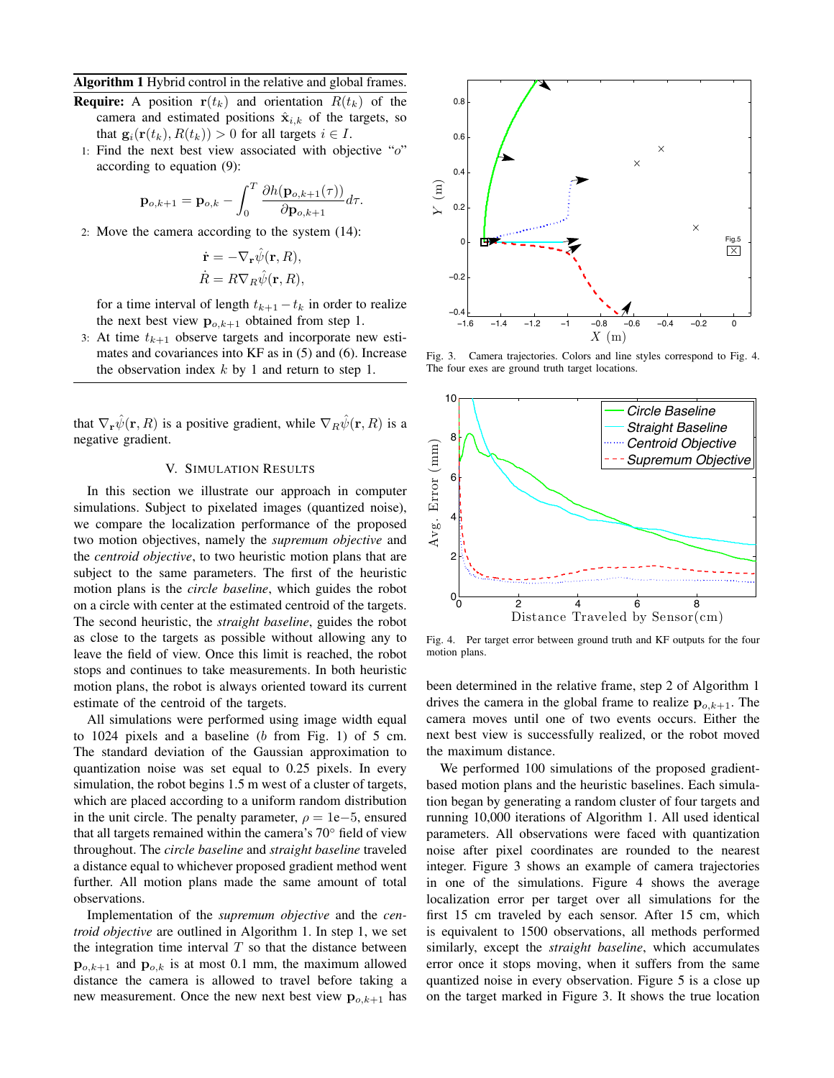## Algorithm 1 Hybrid control in the relative and global frames.

- **Require:** A position  $r(t_k)$  and orientation  $R(t_k)$  of the camera and estimated positions  $\hat{\mathbf{x}}_{i,k}$  of the targets, so that  $\mathbf{g}_i(\mathbf{r}(t_k), R(t_k)) > 0$  for all targets  $i \in I$ .
- 1: Find the next best view associated with objective "o" according to equation (9):

$$
\mathbf{p}_{o,k+1} = \mathbf{p}_{o,k} - \int_0^T \frac{\partial h(\mathbf{p}_{o,k+1}(\tau))}{\partial \mathbf{p}_{o,k+1}} d\tau.
$$

2: Move the camera according to the system (14):

$$
\dot{\mathbf{r}} = -\nabla_{\mathbf{r}} \hat{\psi}(\mathbf{r}, R), \n\dot{R} = R \nabla_{R} \hat{\psi}(\mathbf{r}, R),
$$

for a time interval of length  $t_{k+1} - t_k$  in order to realize the next best view  $\mathbf{p}_{o,k+1}$  obtained from step 1.

3: At time  $t_{k+1}$  observe targets and incorporate new estimates and covariances into KF as in (5) and (6). Increase the observation index  $k$  by 1 and return to step 1.

that  $\nabla_{\mathbf{r}} \hat{\psi}(\mathbf{r}, R)$  is a positive gradient, while  $\nabla_R \hat{\psi}(\mathbf{r}, R)$  is a negative gradient.

# V. SIMULATION RESULTS

In this section we illustrate our approach in computer simulations. Subject to pixelated images (quantized noise), we compare the localization performance of the proposed two motion objectives, namely the *supremum objective* and the *centroid objective*, to two heuristic motion plans that are subject to the same parameters. The first of the heuristic motion plans is the *circle baseline*, which guides the robot on a circle with center at the estimated centroid of the targets. The second heuristic, the *straight baseline*, guides the robot as close to the targets as possible without allowing any to leave the field of view. Once this limit is reached, the robot stops and continues to take measurements. In both heuristic motion plans, the robot is always oriented toward its current estimate of the centroid of the targets.

All simulations were performed using image width equal to 1024 pixels and a baseline (b from Fig. 1) of 5 cm. The standard deviation of the Gaussian approximation to quantization noise was set equal to 0.25 pixels. In every simulation, the robot begins 1.5 m west of a cluster of targets, which are placed according to a uniform random distribution in the unit circle. The penalty parameter,  $\rho = 1e-5$ , ensured that all targets remained within the camera's 70◦ field of view throughout. The *circle baseline* and *straight baseline* traveled a distance equal to whichever proposed gradient method went further. All motion plans made the same amount of total observations.

Implementation of the *supremum objective* and the *centroid objective* are outlined in Algorithm 1. In step 1, we set the integration time interval  $T$  so that the distance between  $\mathbf{p}_{o,k+1}$  and  $\mathbf{p}_{o,k}$  is at most 0.1 mm, the maximum allowed distance the camera is allowed to travel before taking a new measurement. Once the new next best view  $\mathbf{p}_{o,k+1}$  has



Fig. 3. Camera trajectories. Colors and line styles correspond to Fig. 4. The four exes are ground truth target locations.



Fig. 4. Per target error between ground truth and KF outputs for the four motion plans.

been determined in the relative frame, step 2 of Algorithm 1 drives the camera in the global frame to realize  $\mathbf{p}_{o,k+1}$ . The camera moves until one of two events occurs. Either the next best view is successfully realized, or the robot moved the maximum distance.

We performed 100 simulations of the proposed gradientbased motion plans and the heuristic baselines. Each simulation began by generating a random cluster of four targets and running 10,000 iterations of Algorithm 1. All used identical parameters. All observations were faced with quantization noise after pixel coordinates are rounded to the nearest integer. Figure 3 shows an example of camera trajectories in one of the simulations. Figure 4 shows the average localization error per target over all simulations for the first 15 cm traveled by each sensor. After 15 cm, which is equivalent to 1500 observations, all methods performed similarly, except the *straight baseline*, which accumulates error once it stops moving, when it suffers from the same quantized noise in every observation. Figure 5 is a close up on the target marked in Figure 3. It shows the true location